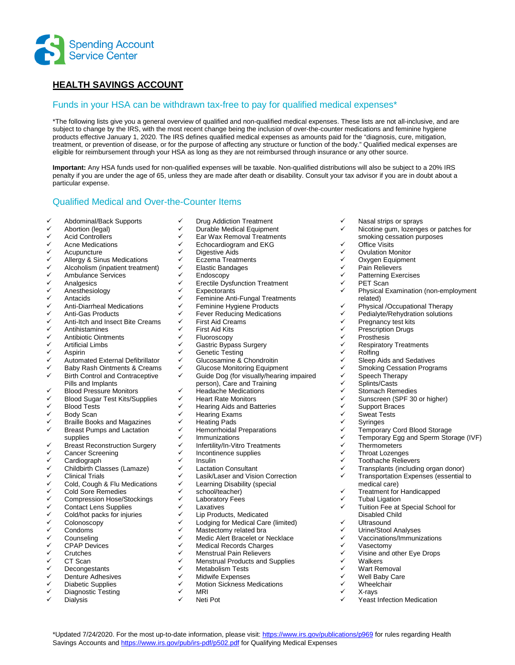

# **HEALTH SAVINGS ACCOUNT**

#### Funds in your HSA can be withdrawn tax-free to pay for qualified medical expenses\*

\*The following lists give you a general overview of qualified and non-qualified medical expenses. These lists are not all-inclusive, and are subject to change by the IRS, with the most recent change being the inclusion of over-the-counter medications and feminine hygiene products effective January 1, 2020. The IRS defines qualified medical expenses as amounts paid for the "diagnosis, cure, mitigation, treatment, or prevention of disease, or for the purpose of affecting any structure or function of the body." Qualified medical expenses are eligible for reimbursement through your HSA as long as they are not reimbursed through insurance or any other source.

**Important:** Any HSA funds used for non-qualified expenses will be taxable. Non-qualified distributions will also be subject to a 20% IRS penalty if you are under the age of 65, unless they are made after death or disability. Consult your tax advisor if you are in doubt about a particular expense.

 $\checkmark$  Nasal strips or sprays

 Office Visits Ovulation Monitor ✓ Oxygen Equipment<br>✓ Pain Pelievers V Pain Relievers<br>V Patterning Exe  $\checkmark$  Patterning Exercises<br> $\checkmark$  PET Scan

V PET Scan<br>V Physical F

V Rolfing<br>V Sleep A

related)

 $\checkmark$  Pregnancy test kits<br> $\checkmark$  Prescription Drugs  $\checkmark$  Prescription Drugs<br> $\checkmark$  Prosthesis  $\checkmark$  Prosthesis<br> $\checkmark$  Respirator

 $\checkmark$  Speech Therapy  $\checkmark$  Splints/Casts<br> $\checkmark$  Stomach Rem  $\checkmark$  Stomach Remedies<br> $\checkmark$  Sunscreen (SPE 30)

V Support Braces<br>V Sweat Tests  $\checkmark$  Sweat Tests<br> $\checkmark$  Syringes **✓** Syringes<br>✓ Temnora

V Thermometers<br>V Throat Lozenge V Throat Lozenges<br>V Toothache Reliev Toothache Relievers

**V** Tubal Ligation

✓ Vasectomy<br>✓ Visine and

 Wheelchair X-rays

V Walkers<br>V Wart Rei

medical care)

Disabled Child Ultrasound ← Urine/Stool Analyses<br>← Vaccinations/Immunix  $\checkmark$  Vaccinations/Immunizations

> Wart Removal Well Baby Care

 $\checkmark$  Respiratory Treatments<br> $\checkmark$  Rolfing

 $\checkmark$  Sleep Aids and Sedatives ✓ Smoking Cessation Programs<br>✓ Speech Therapy

 $\checkmark$  Sunscreen (SPF 30 or higher)<br> $\checkmark$  Support Braces

<del>V</del> Temporary Cord Blood Storage<br>V Temporary Fog and Sperm Stor ← Temporary Egg and Sperm Storage (IVF)<br>← Thermometers

**✓** Transplants (including organ donor)<br>✓ Transportation Expenses (essential t Transportation Expenses (essential to

Treatment for Handicapped

Visine and other Eye Drops

Yeast Infection Medication

Tuition Fee at Special School for

 Nicotine gum, lozenges or patches for smoking cessation purposes

Physical Examination (non-employment

 $\checkmark$  Physical /Occupational Therapy<br> $\checkmark$  Pedialyte/Rehydration solutions Pedialyte/Rehydration solutions

### Qualified Medical and Over-the-Counter Items

- $\checkmark$  Abdominal/Back Supports
- ← Abortion (legal)<br>← Acid Controllers
- Acid Controllers
- $\checkmark$  Acne Medications<br> $\checkmark$  Acupuncture
- Acupuncture
- $\checkmark$  Allergy & Sinus Medications<br> $\checkmark$  Alcoholism (inpatient treatme
- Alcoholism (inpatient treatment)
- $\checkmark$  Ambulance Services
- Analgesics
- ← Anesthesiology
- Antacids
- ✓ Anti-Diarrheal Medications<br>✓ Anti-Gas Products
- Anti-Gas Products
- $\checkmark$  Anti-Itch and Insect Bite Creams<br> $\checkmark$  Antihistamines
- ✓ Antihistamines<br>✓ Antibiotic Ointm
- $\checkmark$  Antibiotic Ointments<br> $\checkmark$  Artificial Limbs
- Artificial Limbs
- v Aspirin<br>v Automa
- ← Automated External Defibrillator<br>← Baby Rash Ointments & Creams
- ← Baby Rash Ointments & Creams<br>← Right Control and Contracentive Birth Control and Contraceptive
- Pills and Implants
- $\checkmark$  Blood Pressure Monitors<br> $\checkmark$  Blood Sugar Tost Kitc/Sur
- Blood Sugar Test Kits/Supplies
- Blood Tests
- Body Scan
- **✓ Braille Books and Magazines**<br>✓ Breast Pumps and Lactation
- Breast Pumps and Lactation
- supplies  $\checkmark$  Breast Reconstruction Surgery
- 
- ← Cancer Screening Cardiograph
- 
- <del>V</del> Childbirth Classes (Lamaze)<br>V Clinical Trials Clinical Trials
- Cold, Cough & Flu Medications
- Cold Sore Remedies
- ← Compression Hose/Stockings
- Contact Lens Supplies
- $\checkmark$  Cold/hot packs for injuries<br> $\checkmark$  Colonoscopy
- Colonoscopy
- Condoms
- Counseling
- CPAP Devices
- Crutches
- V CT Scan<br>V Deconges
- Decongestants Denture Adhesives
- $\checkmark$  Diabetic Supplies
- Diagnostic Testing
- **Dialysis**
- $\checkmark$  Drug Addiction Treatment V Durable Medical Equipment<br>V Ear Way Removal Treatment
- ✓ Ear Wax Removal Treatments<br>✓ Echocardiogram and EKG
- $\checkmark$  Echocardiogram and EKG
- 
- V Digestive Aids<br>V Eczema Treatr
- <del>V</del> Eczema Treatments<br>V Elastic Bandages
- <del>V</del> Elastic Bandages<br>V Endoscopy V Endoscopy<br>V Erectile Dus
- Erectile Dysfunction Treatment
- 
- $\checkmark$  Expectorants<br> $\checkmark$  Eeminine Anti
- ← Feminine Anti-Fungal Treatments<br>← Feminine Hvgiene Products
- ← Feminine Hygiene Products<br>← Fever Reducing Medications Fever Reducing Medications
- ✓ First Aid Creams<br>✓ First Aid Kits
- 
- **V** First Aid Kits<br>**V** Fluoroscopy
- V Fluoroscopy<br>V Gastric Bypa  $\checkmark$  Gastric Bypass Surgery<br> $\checkmark$  Genetic Testing
- 
- $\checkmark$  Genetic Testing<br> $\checkmark$  Glucosamine 8.
- ← Glucosamine & Chondroitin<br>← Glucose Monitoring Faujome
- $\checkmark$  Glucose Monitoring Equipment<br> $\checkmark$  Guide Dog (for visually/hearing) Guide Dog (for visually/hearing impaired person), Care and Training
	-
- $\checkmark$  Headache Medications<br> $\checkmark$  Heart Rate Monitors
- $\checkmark$  Heart Rate Monitors<br> $\checkmark$  Hearing Aids and Ra ✓ Hearing Aids and Batteries<br>✓ Hearing Exams
- ✓ Hearing Exams<br>✓ Heating Pads
- ← Heating Pads<br>← Hemorrhoidal
- $\checkmark$  Hemorrhoidal Preparations<br> $\checkmark$  Immunizations
- ✓ Immunizations<br>✓ Infertilitv/In-Vitr
- $\checkmark$  Infertility/In-Vitro Treatments<br> $\checkmark$  Incontinence supplies
- $\checkmark$  Incontinence supplies<br> $\checkmark$  Insulin
- v Insulin<br>v Lactatio
- ← Lactation Consultant<br>← Lasik/Laser and Vision
- ✓ Lasik/Laser and Vision Correction<br>✓ Learning Disability (special
- Learning Disability (special
- v school/teacher)<br>v Laboratorv Fees
- <del>V</del> Laboratory Fees<br>V Laxatives
- **V** Laxatives<br>**V** Lip Produc
- $\checkmark$  Lip Products, Medicated<br> $\checkmark$  Lodging for Medical Care
- Lodging for Medical Care (limited)
- $\checkmark$  Mastectomy related bra<br> $\checkmark$  Medic Alert Bracelet or N
- $\checkmark$  Medic Alert Bracelet or Necklace<br> $\checkmark$  Medical Records Charges
- ← Medical Records Charges<br>← Menstrual Pain Relievers Menstrual Pain Relievers
- 

\*Updated 7/24/2020. For the most up-to-date information, please visit: https://www.irs.gov/publications/p969 for rules regarding Health

- $\checkmark$  Menstrual Products and Supplies<br> $\checkmark$  Metabolism Tests Metabolism Tests
- Midwife Expenses
- $\checkmark$  Motion Sickness Medications
- MRI
- Neti Pot

Savings Accounts and https://www.irs.gov/pub/irs-pdf/p502.pdf for Qualifying Medical Expenses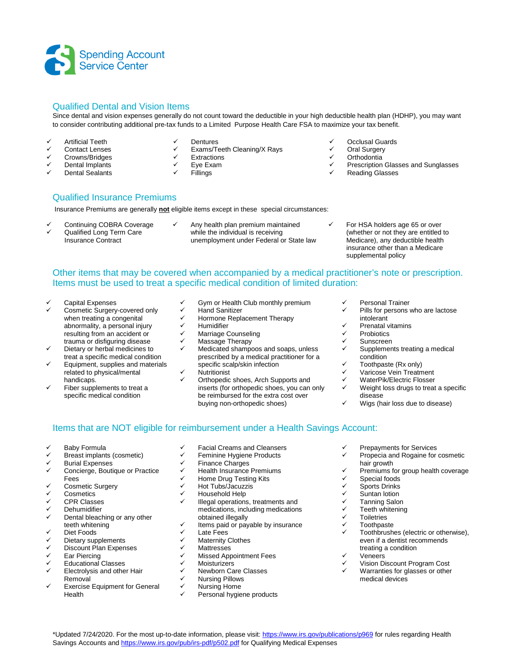

### Qualified Dental and Vision Items

Since dental and vision expenses generally do not count toward the deductible in your high deductible health plan (HDHP), you may want to consider contributing additional pre-tax funds to a Limited Purpose Health Care FSA to maximize your tax benefit.

- $\checkmark$  Artificial Teeth
- ← Contact Lenses
- **✓ Crowns/Bridges**<br>✓ Dental Implants
- Dental Implants
- Dental Sealants
- V Dentures<br>V Exams/Te
- $\checkmark$  Exams/Teeth Cleaning/X Rays
- ✓ Extractions<br>✓ Eve Exam Eye Exam
- Fillings
- 
- Occlusal Guards
- ✓ Oral Surgery
- $\checkmark$  Orthodontia
- Prescription Glasses and Sunglasses
- Reading Glasses

#### Qualified Insurance Premiums

Insurance Premiums are generally **not** eligible items except in these special circumstances:

- Continuing COBRA Coverage
- $\checkmark$  Qualified Long Term Care Insurance Contract
- Any health plan premium maintained while the individual is receiving unemployment under Federal or State law
- For HSA holders age 65 or over (whether or not they are entitled to Medicare), any deductible health insurance other than a Medicare supplemental policy

## Other items that may be covered when accompanied by a medical practitioner's note or prescription. Items must be used to treat a specific medical condition of limited duration:

- Capital Expenses
- Cosmetic Surgery-covered only when treating a congenital abnormality, a personal injury resulting from an accident or trauma or disfiguring disease
- Dietary or herbal medicines to treat a specific medical condition
- Equipment, supplies and materials related to physical/mental handicaps.
- Fiber supplements to treat a specific medical condition
- Gym or Health Club monthly premium
- $\checkmark$  Hand Sanitizer
- ← Hormone Replacement Therapy
- $\checkmark$  Humidifier<br> $\checkmark$  Marriage C
- ← Marriage Counseling<br>← Massage Therany Massage Therapy
- Medicated shampoos and soaps, unless prescribed by a medical practitioner for a specific scalp/skin infection
- **Nutritionist**
- Orthopedic shoes, Arch Supports and inserts (for orthopedic shoes, you can only be reimbursed for the extra cost over buying non-orthopedic shoes)
- Personal Trainer
- Pills for persons who are lactose intolerant
- $\checkmark$  Prenatal vitamins<br> $\checkmark$  Probiotics
- Probiotics
- Sunscreen
- Supplements treating a medical condition
- $\checkmark$  Toothpaste (Rx only)
- Varicose Vein Treatment
- WaterPik/Electric Flosser
- Weight loss drugs to treat a specific disease
- Wigs (hair loss due to disease)

#### Items that are NOT eligible for reimbursement under a Health Savings Account:

- $\checkmark$  Baby Formula
- Breast implants (cosmetic)
- ← Burial Expenses<br>← Concierge Bouti
- Concierge, Boutique or Practice Fees
- Cosmetic Surgery
- **Cosmetics**
- CPR Classes
- Dehumidifier
- Dental bleaching or any other teeth whitening
- Diet Foods
- Dietary supplements
- Discount Plan Expenses
- Ear Piercing
- Educational Classes
- Electrolysis and other Hair Removal
- $\checkmark$  Exercise Equipment for General Health
- Facial Creams and Cleansers
- Feminine Hygiene Products
- Finance Charges
- Health Insurance Premiums
- Home Drug Testing Kits
- ← Hot Tubs/Jacuzzis
- Household Help
- Illegal operations, treatments and medications, including medications obtained illegally
- $\checkmark$  Items paid or payable by insurance
- Late Fees
- Maternity Clothes
- ✓ Mattresses<br>✓ Missed App
- Missed Appointment Fees
- **Moisturizers**
- Newborn Care Classes
- **✓ Nursing Pillows**<br>✓ Nursing Home
- Nursing Home
- Personal hygiene products
- Prepayments for Services
- Propecia and Rogaine for cosmetic hair growth
- $\checkmark$  Premiums for group health coverage
- ✓ Special foods<br>✓ Sports Drinks
- **✓ Sports Drinks**<br>✓ Suntan Iotion
- **V** Suntan lotion<br>**V** Tanning Salor
- V Tanning Salon<br>V Teeth whitening
- Teeth whitening
- **Toiletries**
- **Toothpaste**
- Toothbrushes (electric or otherwise), even if a dentist recommends treating a condition
- Veneers
- Vision Discount Program Cost
- Warranties for glasses or other medical devices